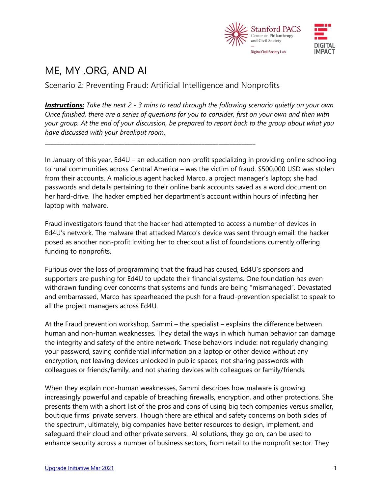

## ME, MY .ORG, AND AI

Scenario 2: Preventing Fraud: Artificial Intelligence and Nonprofits

**\_\_\_\_\_\_\_\_\_\_\_\_\_\_\_\_\_\_\_\_\_\_\_\_\_\_\_\_\_\_\_\_\_\_\_\_\_\_\_\_\_\_\_\_\_\_\_\_\_\_\_\_\_\_\_\_\_\_\_\_\_\_\_\_\_\_\_\_\_\_\_\_\_\_**

*Instructions: Take the next 2 - 3 mins to read through the following scenario quietly on your own. Once finished, there are a series of questions for you to consider, first on your own and then with your group. At the end of your discussion, be prepared to report back to the group about what you have discussed with your breakout room.*

In January of this year, Ed4U – an education non-profit specializing in providing online schooling to rural communities across Central America – was the victim of fraud. \$500,000 USD was stolen from their accounts. A malicious agent hacked Marco, a project manager's laptop; she had passwords and details pertaining to their online bank accounts saved as a word document on her hard-drive. The hacker emptied her department's account within hours of infecting her laptop with malware.

Fraud investigators found that the hacker had attempted to access a number of devices in Ed4U's network. The malware that attacked Marco's device was sent through email: the hacker posed as another non-profit inviting her to checkout a list of foundations currently offering funding to nonprofits.

Furious over the loss of programming that the fraud has caused, Ed4U's sponsors and supporters are pushing for Ed4U to update their financial systems. One foundation has even withdrawn funding over concerns that systems and funds are being "mismanaged". Devastated and embarrassed, Marco has spearheaded the push for a fraud-prevention specialist to speak to all the project managers across Ed4U.

At the Fraud prevention workshop, Sammi – the specialist – explains the difference between human and non-human weaknesses. They detail the ways in which human behavior can damage the integrity and safety of the entire network. These behaviors include: not regularly changing your password, saving confidential information on a laptop or other device without any encryption, not leaving devices unlocked in public spaces, not sharing passwords with colleagues or friends/family, and not sharing devices with colleagues or family/friends.

When they explain non-human weaknesses, Sammi describes how malware is growing increasingly powerful and capable of breaching firewalls, encryption, and other protections. She presents them with a short list of the pros and cons of using big tech companies versus smaller, boutique firms' private servers. Though there are ethical and safety concerns on both sides of the spectrum, ultimately, big companies have better resources to design, implement, and safeguard their cloud and other private servers. AI solutions, they go on, can be used to enhance security across a number of business sectors, from retail to the nonprofit sector. They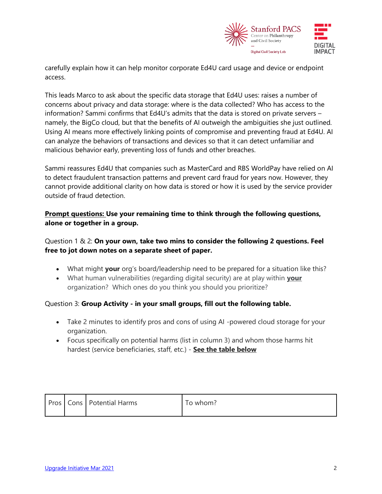

carefully explain how it can help monitor corporate Ed4U card usage and device or endpoint access.

This leads Marco to ask about the specific data storage that Ed4U uses: raises a number of concerns about privacy and data storage: where is the data collected? Who has access to the information? Sammi confirms that Ed4U's admits that the data is stored on private servers – namely, the BigCo cloud, but that the benefits of AI outweigh the ambiguities she just outlined. Using AI means more effectively linking points of compromise and preventing fraud at Ed4U. AI can analyze the behaviors of transactions and devices so that it can detect unfamiliar and malicious behavior early, preventing loss of funds and other breaches.

Sammi reassures Ed4U that companies such as MasterCard and RBS WorldPay have relied on AI to detect fraudulent transaction patterns and prevent card fraud for years now. However, they cannot provide additional clarity on how data is stored or how it is used by the service provider outside of fraud detection.

**Prompt questions: Use your remaining time to think through the following questions, alone or together in a group.**

Question 1 & 2: **On your own, take two mins to consider the following 2 questions. Feel free to jot down notes on a separate sheet of paper.**

- What might **your** org's board/leadership need to be prepared for a situation like this?
- What human vulnerabilities (regarding digital security) are at play within **your** organization? Which ones do you think you should you prioritize?

## Question 3: **Group Activity - in your small groups, fill out the following table.**

- Take 2 minutes to identify pros and cons of using AI -powered cloud storage for your organization.
- Focus specifically on potential harms (list in column 3) and whom those harms hit hardest (service beneficiaries, staff, etc.) - **See the table below**

|  |  | Pros   Cons   Potential Harms | To whom? |
|--|--|-------------------------------|----------|
|--|--|-------------------------------|----------|